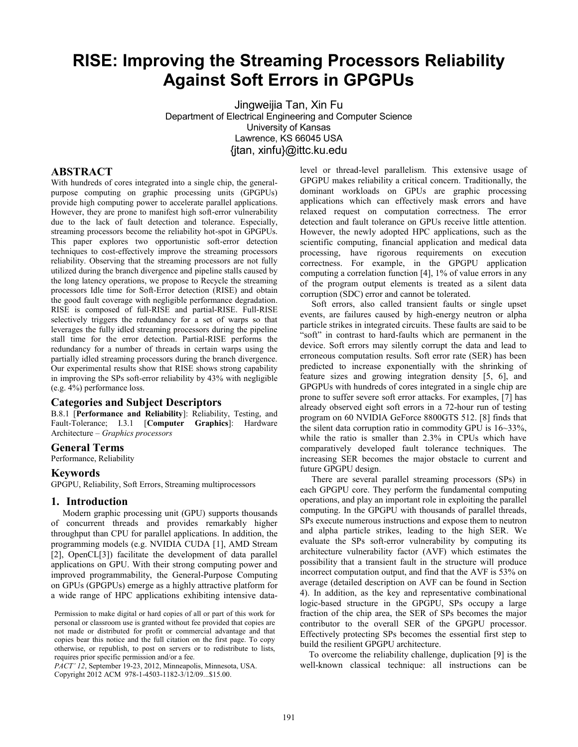# **RISE: Improving the Streaming Processors Reliability Against Soft Errors in GPGPUs**

Jingweijia Tan, Xin Fu Department of Electrical Engineering and Computer Science University of Kansas Lawrence, KS 66045 USA {jtan, xinfu}@ittc.ku.edu

## **ABSTRACT**

With hundreds of cores integrated into a single chip, the generalpurpose computing on graphic processing units (GPGPUs) provide high computing power to accelerate parallel applications. However, they are prone to manifest high soft-error vulnerability due to the lack of fault detection and tolerance. Especially, streaming processors become the reliability hot-spot in GPGPUs. This paper explores two opportunistic soft-error detection techniques to cost-effectively improve the streaming processors reliability. Observing that the streaming processors are not fully utilized during the branch divergence and pipeline stalls caused by the long latency operations, we propose to Recycle the streaming processors Idle time for Soft-Error detection (RISE) and obtain the good fault coverage with negligible performance degradation. RISE is composed of full-RISE and partial-RISE. Full-RISE selectively triggers the redundancy for a set of warps so that leverages the fully idled streaming processors during the pipeline stall time for the error detection. Partial-RISE performs the redundancy for a number of threads in certain warps using the partially idled streaming processors during the branch divergence. Our experimental results show that RISE shows strong capability in improving the SPs soft-error reliability by 43% with negligible (e.g. 4%) performance loss.

### **Categories and Subject Descriptors**

B.8.1 [**Performance and Reliability**]: Reliability, Testing, and Fault-Tolerance; I.3.1 [**Computer Graphics**]: Hardware Architecture – *Graphics processors* 

### **General Terms**

Performance, Reliability

### **Keywords**

GPGPU, Reliability, Soft Errors, Streaming multiprocessors

#### **1. Introduction**

Modern graphic processing unit (GPU) supports thousands of concurrent threads and provides remarkably higher throughput than CPU for parallel applications. In addition, the programming models (e.g. NVIDIA CUDA [1], AMD Stream [2], OpenCL[3]) facilitate the development of data parallel applications on GPU. With their strong computing power and improved programmability, the General-Purpose Computing on GPUs (GPGPUs) emerge as a highly attractive platform for a wide range of HPC applications exhibiting intensive data-

*PACT' 12*, September 19-23, 2012, Minneapolis, Minnesota, USA.

Copyright 2012 ACM 978-1-4503-1182-3/12/09...\$15.00.

level or thread-level parallelism. This extensive usage of GPGPU makes reliability a critical concern. Traditionally, the dominant workloads on GPUs are graphic processing applications which can effectively mask errors and have relaxed request on computation correctness. The error detection and fault tolerance on GPUs receive little attention. However, the newly adopted HPC applications, such as the scientific computing, financial application and medical data processing, have rigorous requirements on execution correctness. For example, in the GPGPU application computing a correlation function [4], 1% of value errors in any of the program output elements is treated as a silent data corruption (SDC) error and cannot be tolerated.

Soft errors, also called transient faults or single upset events, are failures caused by high-energy neutron or alpha particle strikes in integrated circuits. These faults are said to be "soft" in contrast to hard-faults which are permanent in the device. Soft errors may silently corrupt the data and lead to erroneous computation results. Soft error rate (SER) has been predicted to increase exponentially with the shrinking of feature sizes and growing integration density [5, 6], and GPGPUs with hundreds of cores integrated in a single chip are prone to suffer severe soft error attacks. For examples, [7] has already observed eight soft errors in a 72-hour run of testing program on 60 NVIDIA GeForce 8800GTS 512. [8] finds that the silent data corruption ratio in commodity GPU is 16~33%, while the ratio is smaller than 2.3% in CPUs which have comparatively developed fault tolerance techniques. The increasing SER becomes the major obstacle to current and future GPGPU design.

There are several parallel streaming processors (SPs) in each GPGPU core. They perform the fundamental computing operations, and play an important role in exploiting the parallel computing. In the GPGPU with thousands of parallel threads, SPs execute numerous instructions and expose them to neutron and alpha particle strikes, leading to the high SER. We evaluate the SPs soft-error vulnerability by computing its architecture vulnerability factor (AVF) which estimates the possibility that a transient fault in the structure will produce incorrect computation output, and find that the AVF is 53% on average (detailed description on AVF can be found in Section 4). In addition, as the key and representative combinational logic-based structure in the GPGPU, SPs occupy a large fraction of the chip area, the SER of SPs becomes the major contributor to the overall SER of the GPGPU processor. Effectively protecting SPs becomes the essential first step to build the resilient GPGPU architecture.

To overcome the reliability challenge, duplication [9] is the well-known classical technique: all instructions can be

Permission to make digital or hard copies of all or part of this work for personal or classroom use is granted without fee provided that copies are not made or distributed for profit or commercial advantage and that copies bear this notice and the full citation on the first page. To copy otherwise, or republish, to post on servers or to redistribute to lists, requires prior specific permission and/or a fee.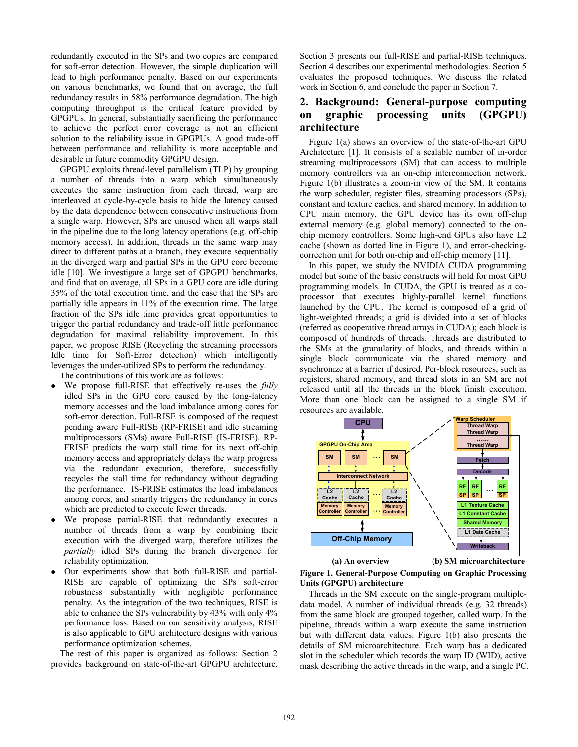redundantly executed in the SPs and two copies are compared for soft-error detection. However, the simple duplication will lead to high performance penalty. Based on our experiments on various benchmarks, we found that on average, the full redundancy results in 58% performance degradation. The high computing throughput is the critical feature provided by GPGPUs. In general, substantially sacrificing the performance to achieve the perfect error coverage is not an efficient solution to the reliability issue in GPGPUs. A good trade-off between performance and reliability is more acceptable and desirable in future commodity GPGPU design.

GPGPU exploits thread-level parallelism (TLP) by grouping a number of threads into a warp which simultaneously executes the same instruction from each thread, warp are interleaved at cycle-by-cycle basis to hide the latency caused by the data dependence between consecutive instructions from a single warp. However, SPs are unused when all warps stall in the pipeline due to the long latency operations (e.g. off-chip memory access). In addition, threads in the same warp may direct to different paths at a branch, they execute sequentially in the diverged warp and partial SPs in the GPU core become idle [10]. We investigate a large set of GPGPU benchmarks, and find that on average, all SPs in a GPU core are idle during 35% of the total execution time, and the case that the SPs are partially idle appears in 11% of the execution time. The large fraction of the SPs idle time provides great opportunities to trigger the partial redundancy and trade-off little performance degradation for maximal reliability improvement. In this paper, we propose RISE (Recycling the streaming processors Idle time for Soft-Error detection) which intelligently leverages the under-utilized SPs to perform the redundancy.

The contributions of this work are as follows:

- We propose full-RISE that effectively re-uses the *fully* idled SPs in the GPU core caused by the long-latency memory accesses and the load imbalance among cores for soft-error detection. Full-RISE is composed of the request pending aware Full-RISE (RP-FRISE) and idle streaming multiprocessors (SMs) aware Full-RISE (IS-FRISE). RP-FRISE predicts the warp stall time for its next off-chip memory access and appropriately delays the warp progress via the redundant execution, therefore, successfully recycles the stall time for redundancy without degrading the performance. IS-FRISE estimates the load imbalances among cores, and smartly triggers the redundancy in cores which are predicted to execute fewer threads.
- We propose partial-RISE that redundantly executes a number of threads from a warp by combining their execution with the diverged warp, therefore utilizes the *partially* idled SPs during the branch divergence for reliability optimization.
- Our experiments show that both full-RISE and partial-RISE are capable of optimizing the SPs soft-error robustness substantially with negligible performance penalty. As the integration of the two techniques, RISE is able to enhance the SPs vulnerability by 43% with only 4% performance loss. Based on our sensitivity analysis, RISE is also applicable to GPU architecture designs with various performance optimization schemes.

The rest of this paper is organized as follows: Section 2 provides background on state-of-the-art GPGPU architecture. Section 3 presents our full-RISE and partial-RISE techniques. Section 4 describes our experimental methodologies. Section 5 evaluates the proposed techniques. We discuss the related work in Section 6, and conclude the paper in Section 7.

# **2. Background: General-purpose computing on graphic processing units (GPGPU) architecture**

Figure 1(a) shows an overview of the state-of-the-art GPU Architecture [1]. It consists of a scalable number of in-order streaming multiprocessors (SM) that can access to multiple memory controllers via an on-chip interconnection network. Figure 1(b) illustrates a zoom-in view of the SM. It contains the warp scheduler, register files, streaming processors (SPs), constant and texture caches, and shared memory. In addition to CPU main memory, the GPU device has its own off-chip external memory (e.g. global memory) connected to the onchip memory controllers. Some high-end GPUs also have L2 cache (shown as dotted line in Figure 1), and error-checkingcorrection unit for both on-chip and off-chip memory [11].

In this paper, we study the NVIDIA CUDA programming model but some of the basic constructs will hold for most GPU programming models. In CUDA, the GPU is treated as a coprocessor that executes highly-parallel kernel functions launched by the CPU. The kernel is composed of a grid of light-weighted threads; a grid is divided into a set of blocks (referred as cooperative thread arrays in CUDA); each block is composed of hundreds of threads. Threads are distributed to the SMs at the granularity of blocks, and threads within a single block communicate via the shared memory and synchronize at a barrier if desired. Per-block resources, such as registers, shared memory, and thread slots in an SM are not released until all the threads in the block finish execution. More than one block can be assigned to a single SM if resources are available.





Threads in the SM execute on the single-program multipledata model. A number of individual threads (e.g. 32 threads) from the same block are grouped together, called warp. In the pipeline, threads within a warp execute the same instruction but with different data values. Figure 1(b) also presents the details of SM microarchitecture. Each warp has a dedicated slot in the scheduler which records the warp ID (WID), active mask describing the active threads in the warp, and a single PC.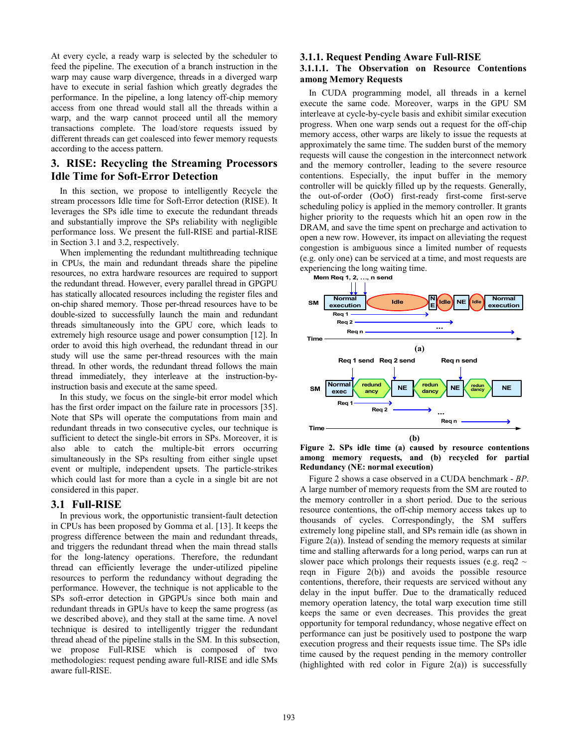At every cycle, a ready warp is selected by the scheduler to feed the pipeline. The execution of a branch instruction in the warp may cause warp divergence, threads in a diverged warp have to execute in serial fashion which greatly degrades the performance. In the pipeline, a long latency off-chip memory access from one thread would stall all the threads within a warp, and the warp cannot proceed until all the memory transactions complete. The load/store requests issued by different threads can get coalesced into fewer memory requests according to the access pattern.

## **3. RISE: Recycling the Streaming Processors Idle Time for Soft-Error Detection**

In this section, we propose to intelligently Recycle the stream processors Idle time for Soft-Error detection (RISE). It leverages the SPs idle time to execute the redundant threads and substantially improve the SPs reliability with negligible performance loss. We present the full-RISE and partial-RISE in Section 3.1 and 3.2, respectively.

When implementing the redundant multithreading technique in CPUs, the main and redundant threads share the pipeline resources, no extra hardware resources are required to support the redundant thread. However, every parallel thread in GPGPU has statically allocated resources including the register files and on-chip shared memory. Those per-thread resources have to be double-sized to successfully launch the main and redundant threads simultaneously into the GPU core, which leads to extremely high resource usage and power consumption [12]. In order to avoid this high overhead, the redundant thread in our study will use the same per-thread resources with the main thread. In other words, the redundant thread follows the main thread immediately, they interleave at the instruction-byinstruction basis and execute at the same speed.

In this study, we focus on the single-bit error model which has the first order impact on the failure rate in processors [35]. Note that SPs will operate the computations from main and redundant threads in two consecutive cycles, our technique is sufficient to detect the single-bit errors in SPs. Moreover, it is also able to catch the multiple-bit errors occurring simultaneously in the SPs resulting from either single upset event or multiple, independent upsets. The particle-strikes which could last for more than a cycle in a single bit are not considered in this paper.

### **3.1 Full-RISE**

In previous work, the opportunistic transient-fault detection in CPUs has been proposed by Gomma et al. [13]. It keeps the progress difference between the main and redundant threads, and triggers the redundant thread when the main thread stalls for the long-latency operations. Therefore, the redundant thread can efficiently leverage the under-utilized pipeline resources to perform the redundancy without degrading the performance. However, the technique is not applicable to the SPs soft-error detection in GPGPUs since both main and redundant threads in GPUs have to keep the same progress (as we described above), and they stall at the same time. A novel technique is desired to intelligently trigger the redundant thread ahead of the pipeline stalls in the SM. In this subsection, we propose Full-RISE which is composed of two methodologies: request pending aware full-RISE and idle SMs aware full-RISE.

### **3.1.1. Request Pending Aware Full-RISE 3.1.1.1. The Observation on Resource Contentions among Memory Requests**

In CUDA programming model, all threads in a kernel execute the same code. Moreover, warps in the GPU SM interleave at cycle-by-cycle basis and exhibit similar execution progress. When one warp sends out a request for the off-chip memory access, other warps are likely to issue the requests at approximately the same time. The sudden burst of the memory requests will cause the congestion in the interconnect network and the memory controller, leading to the severe resource contentions. Especially, the input buffer in the memory controller will be quickly filled up by the requests. Generally, the out-of-order (OoO) first-ready first-come first-serve scheduling policy is applied in the memory controller. It grants higher priority to the requests which hit an open row in the DRAM, and save the time spent on precharge and activation to open a new row. However, its impact on alleviating the request congestion is ambiguous since a limited number of requests (e.g. only one) can be serviced at a time, and most requests are experiencing the long waiting time.





Figure 2 shows a case observed in a CUDA benchmark - *BP*. A large number of memory requests from the SM are routed to the memory controller in a short period. Due to the serious resource contentions, the off-chip memory access takes up to thousands of cycles. Correspondingly, the SM suffers extremely long pipeline stall, and SPs remain idle (as shown in Figure  $2(a)$ ). Instead of sending the memory requests at similar time and stalling afterwards for a long period, warps can run at slower pace which prolongs their requests issues (e.g. req2  $\sim$ reqn in Figure 2(b)) and avoids the possible resource contentions, therefore, their requests are serviced without any delay in the input buffer. Due to the dramatically reduced memory operation latency, the total warp execution time still keeps the same or even decreases. This provides the great opportunity for temporal redundancy, whose negative effect on performance can just be positively used to postpone the warp execution progress and their requests issue time. The SPs idle time caused by the request pending in the memory controller (highlighted with red color in Figure  $2(a)$ ) is successfully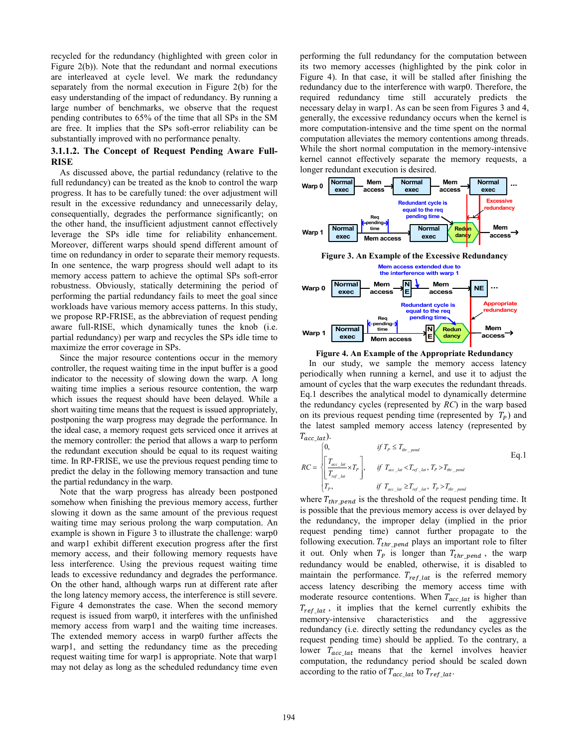recycled for the redundancy (highlighted with green color in Figure 2(b)). Note that the redundant and normal executions are interleaved at cycle level. We mark the redundancy separately from the normal execution in Figure 2(b) for the easy understanding of the impact of redundancy. By running a large number of benchmarks, we observe that the request pending contributes to 65% of the time that all SPs in the SM are free. It implies that the SPs soft-error reliability can be substantially improved with no performance penalty.

#### **3.1.1.2. The Concept of Request Pending Aware Full-RISE**

As discussed above, the partial redundancy (relative to the full redundancy) can be treated as the knob to control the warp progress. It has to be carefully tuned: the over adjustment will result in the excessive redundancy and unnecessarily delay, consequentially, degrades the performance significantly; on the other hand, the insufficient adjustment cannot effectively leverage the SPs idle time for reliability enhancement. Moreover, different warps should spend different amount of time on redundancy in order to separate their memory requests. In one sentence, the warp progress should well adapt to its memory access pattern to achieve the optimal SPs soft-error robustness. Obviously, statically determining the period of performing the partial redundancy fails to meet the goal since workloads have various memory access patterns. In this study, we propose RP-FRISE, as the abbreviation of request pending aware full-RISE, which dynamically tunes the knob (i.e. partial redundancy) per warp and recycles the SPs idle time to maximize the error coverage in SPs.

Since the major resource contentions occur in the memory controller, the request waiting time in the input buffer is a good indicator to the necessity of slowing down the warp. A long waiting time implies a serious resource contention, the warp which issues the request should have been delayed. While a short waiting time means that the request is issued appropriately, postponing the warp progress may degrade the performance. In the ideal case, a memory request gets serviced once it arrives at the memory controller: the period that allows a warp to perform the redundant execution should be equal to its request waiting time. In RP-FRISE, we use the previous request pending time to predict the delay in the following memory transaction and tune the partial redundancy in the warp.

Note that the warp progress has already been postponed somehow when finishing the previous memory access, further slowing it down as the same amount of the previous request waiting time may serious prolong the warp computation. An example is shown in Figure 3 to illustrate the challenge: warp0 and warp1 exhibit different execution progress after the first memory access, and their following memory requests have less interference. Using the previous request waiting time leads to excessive redundancy and degrades the performance. On the other hand, although warps run at different rate after the long latency memory access, the interference is still severe. Figure 4 demonstrates the case. When the second memory request is issued from warp0, it interferes with the unfinished memory access from warp1 and the waiting time increases. The extended memory access in warp0 further affects the warp1, and setting the redundancy time as the preceding request waiting time for warp1 is appropriate. Note that warp1 may not delay as long as the scheduled redundancy time even

performing the full redundancy for the computation between its two memory accesses (highlighted by the pink color in Figure 4). In that case, it will be stalled after finishing the redundancy due to the interference with warp0. Therefore, the required redundancy time still accurately predicts the necessary delay in warp1. As can be seen from Figures 3 and 4, generally, the excessive redundancy occurs when the kernel is more computation-intensive and the time spent on the normal computation alleviates the memory contentions among threads. While the short normal computation in the memory-intensive kernel cannot effectively separate the memory requests, a longer redundant execution is desired.



**Figure 4. An Example of the Appropriate Redundancy**

In our study, we sample the memory access latency periodically when running a kernel, and use it to adjust the amount of cycles that the warp executes the redundant threads. Eq.1 describes the analytical model to dynamically determine the redundancy cycles (represented by *RC*) in the warp based on its previous request pending time (represented by  $T_p$ ) and the latest sampled memory access latency (represented by  $T_{acc\ lat}$ ). *if*  $T_P \leq T_{thr\_pend}$ 

$$
RC = \begin{cases} 0, & \text{if } T_P \le T_{thr\_pend} \\ \left[\frac{T_{acc\_lat}}{T_{ref\_lat}} \times T_P\right], & \text{if } T_{acc\_lat} < T_{ref\_lat}, T_P > T_{thr\_pend} \\ T_{ref\_lat} & \text{if } T_{acc\_lat} \ge T_{ref\_lat}, T_P > T_{thr\_pend} \end{cases} \tag{Eq.1}
$$

where  $T_{thr\,pend}$  is the threshold of the request pending time. It is possible that the previous memory access is over delayed by the redundancy, the improper delay (implied in the prior request pending time) cannot further propagate to the following execution.  $T_{thr\_pend}$  plays an important role to filter it out. Only when  $T_p$  is longer than  $T_{thr\_pend}$ , the warp redundancy would be enabled, otherwise, it is disabled to maintain the performance.  $T_{ref\ lat}$  is the referred memory access latency describing the memory access time with moderate resource contentions. When  $T_{acc\ lat}$  is higher than  $T_{ref lat}$ , it implies that the kernel currently exhibits the memory-intensive characteristics and the aggressive redundancy (i.e. directly setting the redundancy cycles as the request pending time) should be applied. To the contrary, a lower  $T_{acc\ lat}$  means that the kernel involves heavier computation, the redundancy period should be scaled down according to the ratio of  $T_{acc\ lat}$  to  $T_{ref\ lat}$ .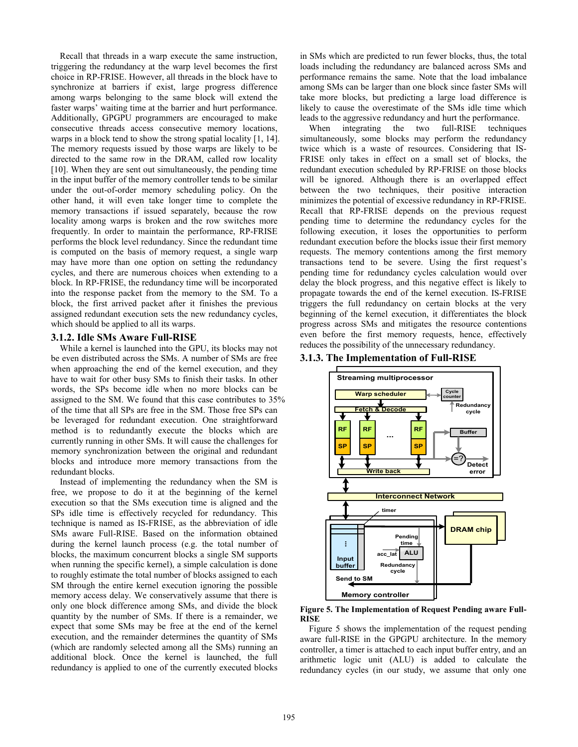Recall that threads in a warp execute the same instruction, triggering the redundancy at the warp level becomes the first choice in RP-FRISE. However, all threads in the block have to synchronize at barriers if exist, large progress difference among warps belonging to the same block will extend the faster warps' waiting time at the barrier and hurt performance. Additionally, GPGPU programmers are encouraged to make consecutive threads access consecutive memory locations, warps in a block tend to show the strong spatial locality [1, 14]. The memory requests issued by those warps are likely to be directed to the same row in the DRAM, called row locality [10]. When they are sent out simultaneously, the pending time in the input buffer of the memory controller tends to be similar under the out-of-order memory scheduling policy. On the other hand, it will even take longer time to complete the memory transactions if issued separately, because the row locality among warps is broken and the row switches more frequently. In order to maintain the performance, RP-FRISE performs the block level redundancy. Since the redundant time is computed on the basis of memory request, a single warp may have more than one option on setting the redundancy cycles, and there are numerous choices when extending to a block. In RP-FRISE, the redundancy time will be incorporated into the response packet from the memory to the SM. To a block, the first arrived packet after it finishes the previous assigned redundant execution sets the new redundancy cycles, which should be applied to all its warps.

#### **3.1.2. Idle SMs Aware Full-RISE**

While a kernel is launched into the GPU, its blocks may not be even distributed across the SMs. A number of SMs are free when approaching the end of the kernel execution, and they have to wait for other busy SMs to finish their tasks. In other words, the SPs become idle when no more blocks can be assigned to the SM. We found that this case contributes to 35% of the time that all SPs are free in the SM. Those free SPs can be leveraged for redundant execution. One straightforward method is to redundantly execute the blocks which are currently running in other SMs. It will cause the challenges for memory synchronization between the original and redundant blocks and introduce more memory transactions from the redundant blocks.

Instead of implementing the redundancy when the SM is free, we propose to do it at the beginning of the kernel execution so that the SMs execution time is aligned and the SPs idle time is effectively recycled for redundancy. This technique is named as IS-FRISE, as the abbreviation of idle SMs aware Full-RISE. Based on the information obtained during the kernel launch process (e.g. the total number of blocks, the maximum concurrent blocks a single SM supports when running the specific kernel), a simple calculation is done to roughly estimate the total number of blocks assigned to each SM through the entire kernel execution ignoring the possible memory access delay. We conservatively assume that there is only one block difference among SMs, and divide the block quantity by the number of SMs. If there is a remainder, we expect that some SMs may be free at the end of the kernel execution, and the remainder determines the quantity of SMs (which are randomly selected among all the SMs) running an additional block. Once the kernel is launched, the full redundancy is applied to one of the currently executed blocks

in SMs which are predicted to run fewer blocks, thus, the total loads including the redundancy are balanced across SMs and performance remains the same. Note that the load imbalance among SMs can be larger than one block since faster SMs will take more blocks, but predicting a large load difference is likely to cause the overestimate of the SMs idle time which leads to the aggressive redundancy and hurt the performance.

When integrating the two full-RISE techniques simultaneously, some blocks may perform the redundancy twice which is a waste of resources. Considering that IS-FRISE only takes in effect on a small set of blocks, the redundant execution scheduled by RP-FRISE on those blocks will be ignored. Although there is an overlapped effect between the two techniques, their positive interaction minimizes the potential of excessive redundancy in RP-FRISE. Recall that RP-FRISE depends on the previous request pending time to determine the redundancy cycles for the following execution, it loses the opportunities to perform redundant execution before the blocks issue their first memory requests. The memory contentions among the first memory transactions tend to be severe. Using the first request's pending time for redundancy cycles calculation would over delay the block progress, and this negative effect is likely to propagate towards the end of the kernel execution. IS-FRISE triggers the full redundancy on certain blocks at the very beginning of the kernel execution, it differentiates the block progress across SMs and mitigates the resource contentions even before the first memory requests, hence, effectively reduces the possibility of the unnecessary redundancy.

#### **3.1.3. The Implementation of Full-RISE**



**Figure 5. The Implementation of Request Pending aware Full-RISE** 

Figure 5 shows the implementation of the request pending aware full-RISE in the GPGPU architecture. In the memory controller, a timer is attached to each input buffer entry, and an arithmetic logic unit (ALU) is added to calculate the redundancy cycles (in our study, we assume that only one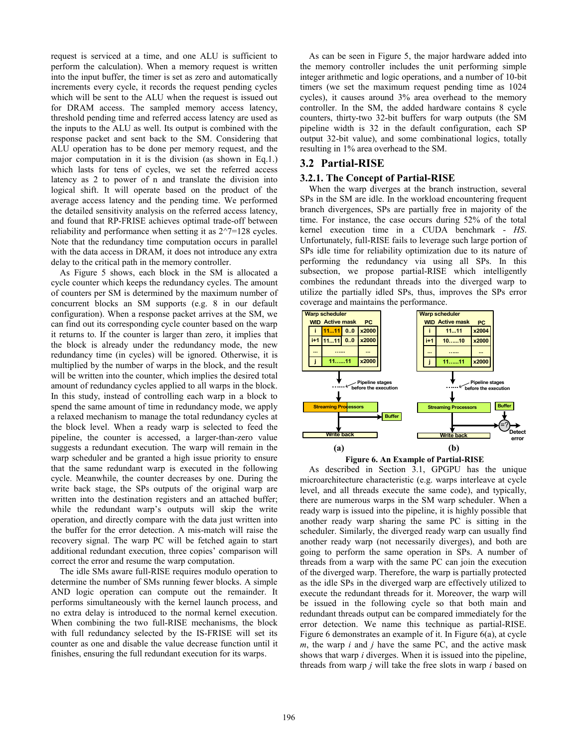request is serviced at a time, and one ALU is sufficient to perform the calculation). When a memory request is written into the input buffer, the timer is set as zero and automatically increments every cycle, it records the request pending cycles which will be sent to the ALU when the request is issued out for DRAM access. The sampled memory access latency, threshold pending time and referred access latency are used as the inputs to the ALU as well. Its output is combined with the response packet and sent back to the SM. Considering that ALU operation has to be done per memory request, and the major computation in it is the division (as shown in Eq.1.) which lasts for tens of cycles, we set the referred access latency as 2 to power of n and translate the division into logical shift. It will operate based on the product of the average access latency and the pending time. We performed the detailed sensitivity analysis on the referred access latency, and found that RP-FRISE achieves optimal trade-off between reliability and performance when setting it as 2^7=128 cycles. Note that the redundancy time computation occurs in parallel with the data access in DRAM, it does not introduce any extra delay to the critical path in the memory controller.

As Figure 5 shows, each block in the SM is allocated a cycle counter which keeps the redundancy cycles. The amount of counters per SM is determined by the maximum number of concurrent blocks an SM supports (e.g. 8 in our default configuration). When a response packet arrives at the SM, we can find out its corresponding cycle counter based on the warp it returns to. If the counter is larger than zero, it implies that the block is already under the redundancy mode, the new redundancy time (in cycles) will be ignored. Otherwise, it is multiplied by the number of warps in the block, and the result will be written into the counter, which implies the desired total amount of redundancy cycles applied to all warps in the block. In this study, instead of controlling each warp in a block to spend the same amount of time in redundancy mode, we apply a relaxed mechanism to manage the total redundancy cycles at the block level. When a ready warp is selected to feed the pipeline, the counter is accessed, a larger-than-zero value suggests a redundant execution. The warp will remain in the warp scheduler and be granted a high issue priority to ensure that the same redundant warp is executed in the following cycle. Meanwhile, the counter decreases by one. During the write back stage, the SPs outputs of the original warp are written into the destination registers and an attached buffer; while the redundant warp's outputs will skip the write operation, and directly compare with the data just written into the buffer for the error detection. A mis-match will raise the recovery signal. The warp PC will be fetched again to start additional redundant execution, three copies' comparison will correct the error and resume the warp computation.

The idle SMs aware full-RISE requires modulo operation to determine the number of SMs running fewer blocks. A simple AND logic operation can compute out the remainder. It performs simultaneously with the kernel launch process, and no extra delay is introduced to the normal kernel execution. When combining the two full-RISE mechanisms, the block with full redundancy selected by the IS-FRISE will set its counter as one and disable the value decrease function until it finishes, ensuring the full redundant execution for its warps.

As can be seen in Figure 5, the major hardware added into the memory controller includes the unit performing simple integer arithmetic and logic operations, and a number of 10-bit timers (we set the maximum request pending time as 1024 cycles), it causes around 3% area overhead to the memory controller. In the SM, the added hardware contains 8 cycle counters, thirty-two 32-bit buffers for warp outputs (the SM pipeline width is 32 in the default configuration, each SP output 32-bit value), and some combinational logics, totally resulting in 1% area overhead to the SM.

## **3.2 Partial-RISE**

### **3.2.1. The Concept of Partial-RISE**

When the warp diverges at the branch instruction, several SPs in the SM are idle. In the workload encountering frequent branch divergences, SPs are partially free in majority of the time. For instance, the case occurs during 52% of the total kernel execution time in a CUDA benchmark - *HS*. Unfortunately, full-RISE fails to leverage such large portion of SPs idle time for reliability optimization due to its nature of performing the redundancy via using all SPs. In this subsection, we propose partial-RISE which intelligently combines the redundant threads into the diverged warp to utilize the partially idled SPs, thus, improves the SPs error coverage and maintains the performance.





As described in Section 3.1, GPGPU has the unique microarchitecture characteristic (e.g. warps interleave at cycle level, and all threads execute the same code), and typically, there are numerous warps in the SM warp scheduler. When a ready warp is issued into the pipeline, it is highly possible that another ready warp sharing the same PC is sitting in the scheduler. Similarly, the diverged ready warp can usually find another ready warp (not necessarily diverges), and both are going to perform the same operation in SPs. A number of threads from a warp with the same PC can join the execution of the diverged warp. Therefore, the warp is partially protected as the idle SPs in the diverged warp are effectively utilized to execute the redundant threads for it. Moreover, the warp will be issued in the following cycle so that both main and redundant threads output can be compared immediately for the error detection. We name this technique as partial-RISE. Figure 6 demonstrates an example of it. In Figure 6(a), at cycle *m*, the warp *i* and *j* have the same PC, and the active mask shows that warp *i* diverges. When it is issued into the pipeline, threads from warp *j* will take the free slots in warp *i* based on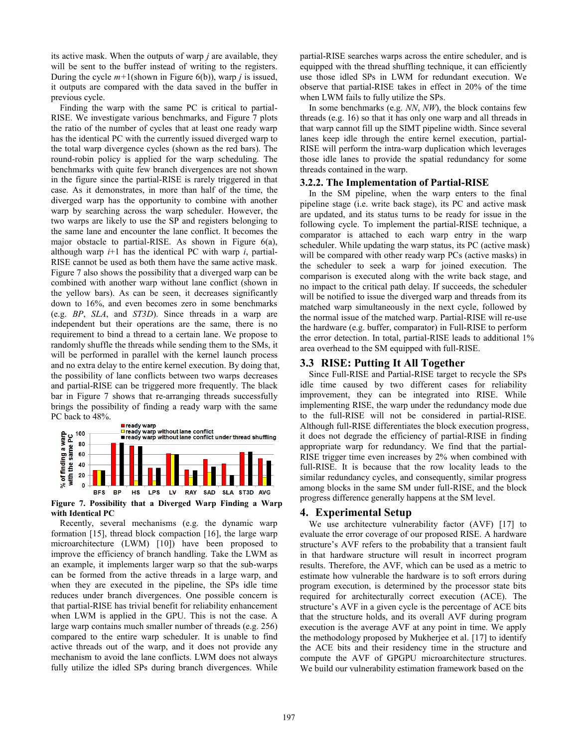its active mask. When the outputs of warp *j* are available, they will be sent to the buffer instead of writing to the registers. During the cycle  $m+1$ (shown in Figure 6(b)), warp *j* is issued, it outputs are compared with the data saved in the buffer in previous cycle.

Finding the warp with the same PC is critical to partial-RISE. We investigate various benchmarks, and Figure 7 plots the ratio of the number of cycles that at least one ready warp has the identical PC with the currently issued diverged warp to the total warp divergence cycles (shown as the red bars). The round-robin policy is applied for the warp scheduling. The benchmarks with quite few branch divergences are not shown in the figure since the partial-RISE is rarely triggered in that case. As it demonstrates, in more than half of the time, the diverged warp has the opportunity to combine with another warp by searching across the warp scheduler. However, the two warps are likely to use the SP and registers belonging to the same lane and encounter the lane conflict. It becomes the major obstacle to partial-RISE. As shown in Figure 6(a), although warp  $i+1$  has the identical PC with warp  $i$ , partial-RISE cannot be used as both them have the same active mask. Figure 7 also shows the possibility that a diverged warp can be combined with another warp without lane conflict (shown in the yellow bars). As can be seen, it decreases significantly down to 16%, and even becomes zero in some benchmarks (e.g. *BP*, *SLA*, and *ST3D*). Since threads in a warp are independent but their operations are the same, there is no requirement to bind a thread to a certain lane. We propose to randomly shuffle the threads while sending them to the SMs, it will be performed in parallel with the kernel launch process and no extra delay to the entire kernel execution. By doing that, the possibility of lane conflicts between two warps decreases and partial-RISE can be triggered more frequently. The black bar in Figure 7 shows that re-arranging threads successfully brings the possibility of finding a ready warp with the same PC back to 48%.



**Figure 7. Possibility that a Diverged Warp Finding a Warp with Identical PC**

Recently, several mechanisms (e.g. the dynamic warp formation [15], thread block compaction [16], the large warp microarchitecture (LWM) [10]) have been proposed to improve the efficiency of branch handling. Take the LWM as an example, it implements larger warp so that the sub-warps can be formed from the active threads in a large warp, and when they are executed in the pipeline, the SPs idle time reduces under branch divergences. One possible concern is that partial-RISE has trivial benefit for reliability enhancement when LWM is applied in the GPU. This is not the case. A large warp contains much smaller number of threads (e.g. 256) compared to the entire warp scheduler. It is unable to find active threads out of the warp, and it does not provide any mechanism to avoid the lane conflicts. LWM does not always fully utilize the idled SPs during branch divergences. While

partial-RISE searches warps across the entire scheduler, and is equipped with the thread shuffling technique, it can efficiently use those idled SPs in LWM for redundant execution. We observe that partial-RISE takes in effect in 20% of the time when LWM fails to fully utilize the SPs.

In some benchmarks (e.g. *NN*, *NW*), the block contains few threads (e.g. 16) so that it has only one warp and all threads in that warp cannot fill up the SIMT pipeline width. Since several lanes keep idle through the entire kernel execution, partial-RISE will perform the intra-warp duplication which leverages those idle lanes to provide the spatial redundancy for some threads contained in the warp.

#### **3.2.2. The Implementation of Partial-RISE**

In the SM pipeline, when the warp enters to the final pipeline stage (i.e. write back stage), its PC and active mask are updated, and its status turns to be ready for issue in the following cycle. To implement the partial-RISE technique, a comparator is attached to each warp entry in the warp scheduler. While updating the warp status, its PC (active mask) will be compared with other ready warp PCs (active masks) in the scheduler to seek a warp for joined execution. The comparison is executed along with the write back stage, and no impact to the critical path delay. If succeeds, the scheduler will be notified to issue the diverged warp and threads from its matched warp simultaneously in the next cycle, followed by the normal issue of the matched warp. Partial-RISE will re-use the hardware (e.g. buffer, comparator) in Full-RISE to perform the error detection. In total, partial-RISE leads to additional 1% area overhead to the SM equipped with full-RISE.

### **3.3 RISE: Putting It All Together**

Since Full-RISE and Partial-RISE target to recycle the SPs idle time caused by two different cases for reliability improvement, they can be integrated into RISE. While implementing RISE, the warp under the redundancy mode due to the full-RISE will not be considered in partial-RISE. Although full-RISE differentiates the block execution progress, it does not degrade the efficiency of partial-RISE in finding appropriate warp for redundancy. We find that the partial-RISE trigger time even increases by 2% when combined with full-RISE. It is because that the row locality leads to the similar redundancy cycles, and consequently, similar progress among blocks in the same SM under full-RISE, and the block progress difference generally happens at the SM level.

### **4. Experimental Setup**

We use architecture vulnerability factor (AVF) [17] to evaluate the error coverage of our proposed RISE. A hardware structure's AVF refers to the probability that a transient fault in that hardware structure will result in incorrect program results. Therefore, the AVF, which can be used as a metric to estimate how vulnerable the hardware is to soft errors during program execution, is determined by the processor state bits required for architecturally correct execution (ACE). The structure's AVF in a given cycle is the percentage of ACE bits that the structure holds, and its overall AVF during program execution is the average AVF at any point in time. We apply the methodology proposed by Mukherjee et al. [17] to identify the ACE bits and their residency time in the structure and compute the AVF of GPGPU microarchitecture structures. We build our vulnerability estimation framework based on the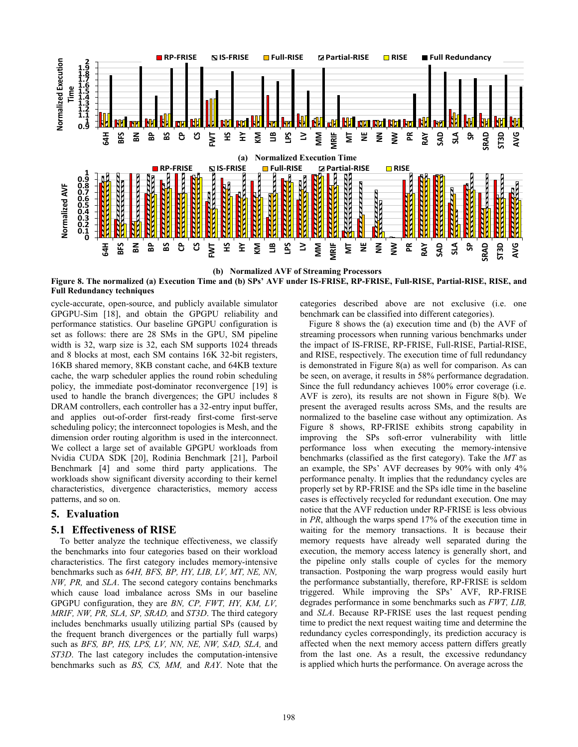

**(b) Normalized AVF of Streaming Processors**

**Figure 8. The normalized (a) Execution Time and (b) SPs' AVF under IS-FRISE, RP-FRISE, Full-RISE, Partial-RISE, RISE, and Full Redundancy techniques**

cycle-accurate, open-source, and publicly available simulator GPGPU-Sim [18], and obtain the GPGPU reliability and performance statistics. Our baseline GPGPU configuration is set as follows: there are 28 SMs in the GPU, SM pipeline width is 32, warp size is 32, each SM supports 1024 threads and 8 blocks at most, each SM contains 16K 32-bit registers, 16KB shared memory, 8KB constant cache, and 64KB texture cache, the warp scheduler applies the round robin scheduling policy, the immediate post-dominator reconvergence [19] is used to handle the branch divergences; the GPU includes 8 DRAM controllers, each controller has a 32-entry input buffer, and applies out-of-order first-ready first-come first-serve scheduling policy; the interconnect topologies is Mesh, and the dimension order routing algorithm is used in the interconnect. We collect a large set of available GPGPU workloads from Nvidia CUDA SDK [20], Rodinia Benchmark [21], Parboil Benchmark [4] and some third party applications. The workloads show significant diversity according to their kernel characteristics, divergence characteristics, memory access patterns, and so on.

### **5. Evaluation**

### **5.1 Effectiveness of RISE**

To better analyze the technique effectiveness, we classify the benchmarks into four categories based on their workload characteristics. The first category includes memory-intensive benchmarks such as *64H, BFS, BP, HY, LIB, LV, MT, NE, NN, NW, PR,* and *SLA*. The second category contains benchmarks which cause load imbalance across SMs in our baseline GPGPU configuration, they are *BN, CP, FWT, HY, KM, LV, MRIF, NW, PR, SLA, SP, SRAD,* and *ST3D*. The third category includes benchmarks usually utilizing partial SPs (caused by the frequent branch divergences or the partially full warps) such as *BFS, BP, HS, LPS, LV, NN, NE, NW, SAD, SLA,* and *ST3D*. The last category includes the computation-intensive benchmarks such as *BS, CS, MM,* and *RAY*. Note that the

categories described above are not exclusive (i.e. one benchmark can be classified into different categories).

Figure 8 shows the (a) execution time and (b) the AVF of streaming processors when running various benchmarks under the impact of IS-FRISE, RP-FRISE, Full-RISE, Partial-RISE, and RISE, respectively. The execution time of full redundancy is demonstrated in Figure 8(a) as well for comparison. As can be seen, on average, it results in 58% performance degradation. Since the full redundancy achieves 100% error coverage (i.e. AVF is zero), its results are not shown in Figure 8(b). We present the averaged results across SMs, and the results are normalized to the baseline case without any optimization. As Figure 8 shows, RP-FRISE exhibits strong capability in improving the SPs soft-error vulnerability with little performance loss when executing the memory-intensive benchmarks (classified as the first category). Take the *MT* as an example, the SPs' AVF decreases by 90% with only 4% performance penalty. It implies that the redundancy cycles are properly set by RP-FRISE and the SPs idle time in the baseline cases is effectively recycled for redundant execution. One may notice that the AVF reduction under RP-FRISE is less obvious in *PR*, although the warps spend 17% of the execution time in waiting for the memory transactions. It is because their memory requests have already well separated during the execution, the memory access latency is generally short, and the pipeline only stalls couple of cycles for the memory transaction. Postponing the warp progress would easily hurt the performance substantially, therefore, RP-FRISE is seldom triggered. While improving the SPs' AVF, RP-FRISE degrades performance in some benchmarks such as *FWT, LIB,* and *SLA*. Because RP-FRISE uses the last request pending time to predict the next request waiting time and determine the redundancy cycles correspondingly, its prediction accuracy is affected when the next memory access pattern differs greatly from the last one. As a result, the excessive redundancy is applied which hurts the performance. On average across the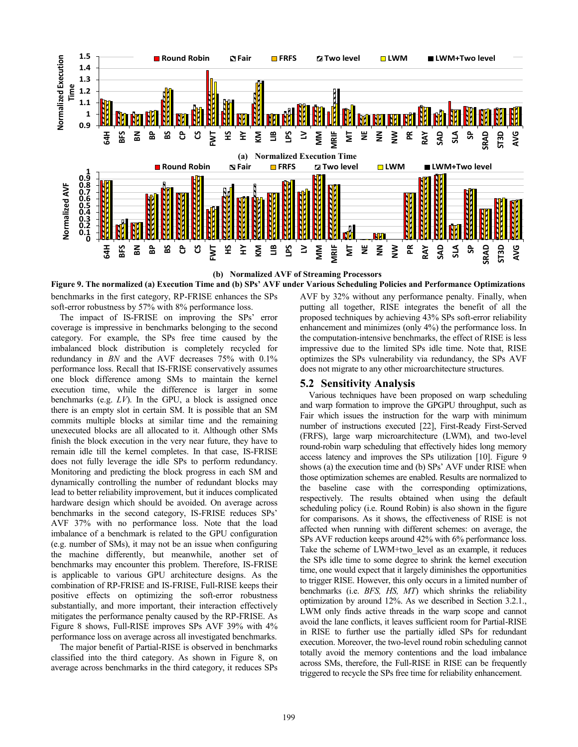

**(b) Normalized AVF of Streaming Processors Figure 9. The normalized (a) Execution Time and (b) SPs' AVF under Various Scheduling Policies and Performance Optimizations**

benchmarks in the first category, RP-FRISE enhances the SPs soft-error robustness by 57% with 8% performance loss.

The impact of IS-FRISE on improving the SPs' error coverage is impressive in benchmarks belonging to the second category. For example, the SPs free time caused by the imbalanced block distribution is completely recycled for redundancy in *BN* and the AVF decreases 75% with 0.1% performance loss. Recall that IS-FRISE conservatively assumes one block difference among SMs to maintain the kernel execution time, while the difference is larger in some benchmarks (e.g. *LV*). In the GPU, a block is assigned once there is an empty slot in certain SM. It is possible that an SM commits multiple blocks at similar time and the remaining unexecuted blocks are all allocated to it. Although other SMs finish the block execution in the very near future, they have to remain idle till the kernel completes. In that case, IS-FRISE does not fully leverage the idle SPs to perform redundancy. Monitoring and predicting the block progress in each SM and dynamically controlling the number of redundant blocks may lead to better reliability improvement, but it induces complicated hardware design which should be avoided. On average across benchmarks in the second category, IS-FRISE reduces SPs' AVF 37% with no performance loss. Note that the load imbalance of a benchmark is related to the GPU configuration (e.g. number of SMs), it may not be an issue when configuring the machine differently, but meanwhile, another set of benchmarks may encounter this problem. Therefore, IS-FRISE is applicable to various GPU architecture designs. As the combination of RP-FRISE and IS-FRISE, Full-RISE keeps their positive effects on optimizing the soft-error robustness substantially, and more important, their interaction effectively mitigates the performance penalty caused by the RP-FRISE. As Figure 8 shows, Full-RISE improves SPs AVF 39% with 4% performance loss on average across all investigated benchmarks.

The major benefit of Partial-RISE is observed in benchmarks classified into the third category. As shown in Figure 8, on average across benchmarks in the third category, it reduces SPs

AVF by 32% without any performance penalty. Finally, when putting all together, RISE integrates the benefit of all the proposed techniques by achieving 43% SPs soft-error reliability enhancement and minimizes (only 4%) the performance loss. In the computation-intensive benchmarks, the effect of RISE is less impressive due to the limited SPs idle time. Note that, RISE optimizes the SPs vulnerability via redundancy, the SPs AVF does not migrate to any other microarchitecture structures.

### **5.2 Sensitivity Analysis**

Various techniques have been proposed on warp scheduling and warp formation to improve the GPGPU throughput, such as Fair which issues the instruction for the warp with minimum number of instructions executed [22], First-Ready First-Served (FRFS), large warp microarchitecture (LWM), and two-level round-robin warp scheduling that effectively hides long memory access latency and improves the SPs utilization [10]. Figure 9 shows (a) the execution time and (b) SPs' AVF under RISE when those optimization schemes are enabled. Results are normalized to the baseline case with the corresponding optimizations, respectively. The results obtained when using the default scheduling policy (i.e. Round Robin) is also shown in the figure for comparisons. As it shows, the effectiveness of RISE is not affected when running with different schemes: on average, the SPs AVF reduction keeps around 42% with 6% performance loss. Take the scheme of LWM+two\_level as an example, it reduces the SPs idle time to some degree to shrink the kernel execution time, one would expect that it largely diminishes the opportunities to trigger RISE. However, this only occurs in a limited number of benchmarks (i.e. *BFS, HS, MT*) which shrinks the reliability optimization by around 12%. As we described in Section 3.2.1., LWM only finds active threads in the warp scope and cannot avoid the lane conflicts, it leaves sufficient room for Partial-RISE in RISE to further use the partially idled SPs for redundant execution. Moreover, the two-level round robin scheduling cannot totally avoid the memory contentions and the load imbalance across SMs, therefore, the Full-RISE in RISE can be frequently triggered to recycle the SPs free time for reliability enhancement.